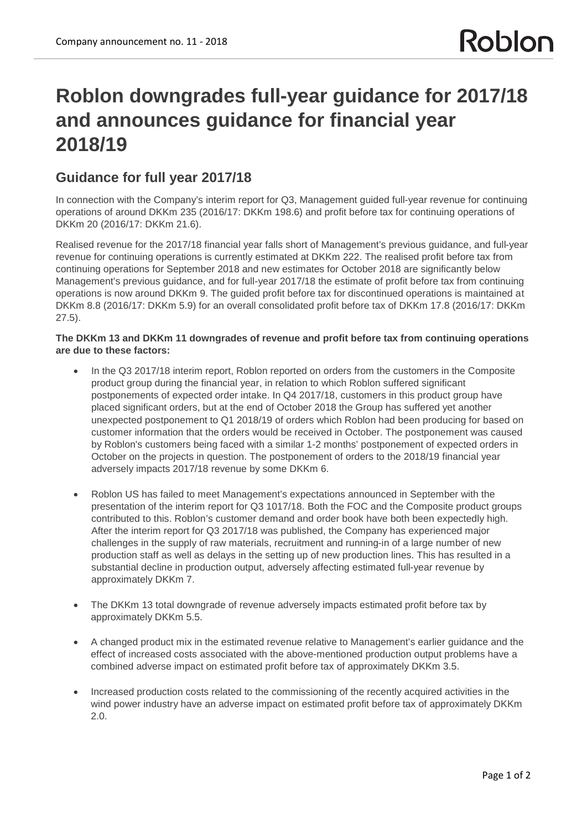## **Roblon downgrades full-year guidance for 2017/18 and announces guidance for financial year 2018/19**

## **Guidance for full year 2017/18**

In connection with the Company's interim report for Q3, Management guided full-year revenue for continuing operations of around DKKm 235 (2016/17: DKKm 198.6) and profit before tax for continuing operations of DKKm 20 (2016/17: DKKm 21.6).

Realised revenue for the 2017/18 financial year falls short of Management's previous guidance, and full-year revenue for continuing operations is currently estimated at DKKm 222. The realised profit before tax from continuing operations for September 2018 and new estimates for October 2018 are significantly below Management's previous guidance, and for full-year 2017/18 the estimate of profit before tax from continuing operations is now around DKKm 9. The guided profit before tax for discontinued operations is maintained at DKKm 8.8 (2016/17: DKKm 5.9) for an overall consolidated profit before tax of DKKm 17.8 (2016/17: DKKm 27.5).

## **The DKKm 13 and DKKm 11 downgrades of revenue and profit before tax from continuing operations are due to these factors:**

- In the Q3 2017/18 interim report, Roblon reported on orders from the customers in the Composite product group during the financial year, in relation to which Roblon suffered significant postponements of expected order intake. In Q4 2017/18, customers in this product group have placed significant orders, but at the end of October 2018 the Group has suffered yet another unexpected postponement to Q1 2018/19 of orders which Roblon had been producing for based on customer information that the orders would be received in October. The postponement was caused by Roblon's customers being faced with a similar 1-2 months' postponement of expected orders in October on the projects in question. The postponement of orders to the 2018/19 financial year adversely impacts 2017/18 revenue by some DKKm 6.
- · Roblon US has failed to meet Management's expectations announced in September with the presentation of the interim report for Q3 1017/18. Both the FOC and the Composite product groups contributed to this. Roblon's customer demand and order book have both been expectedly high. After the interim report for Q3 2017/18 was published, the Company has experienced major challenges in the supply of raw materials, recruitment and running-in of a large number of new production staff as well as delays in the setting up of new production lines. This has resulted in a substantial decline in production output, adversely affecting estimated full-year revenue by approximately DKKm 7.
- The DKKm 13 total downgrade of revenue adversely impacts estimated profit before tax by approximately DKKm 5.5.
- · A changed product mix in the estimated revenue relative to Management's earlier guidance and the effect of increased costs associated with the above-mentioned production output problems have a combined adverse impact on estimated profit before tax of approximately DKKm 3.5.
- · Increased production costs related to the commissioning of the recently acquired activities in the wind power industry have an adverse impact on estimated profit before tax of approximately DKKm 2.0.